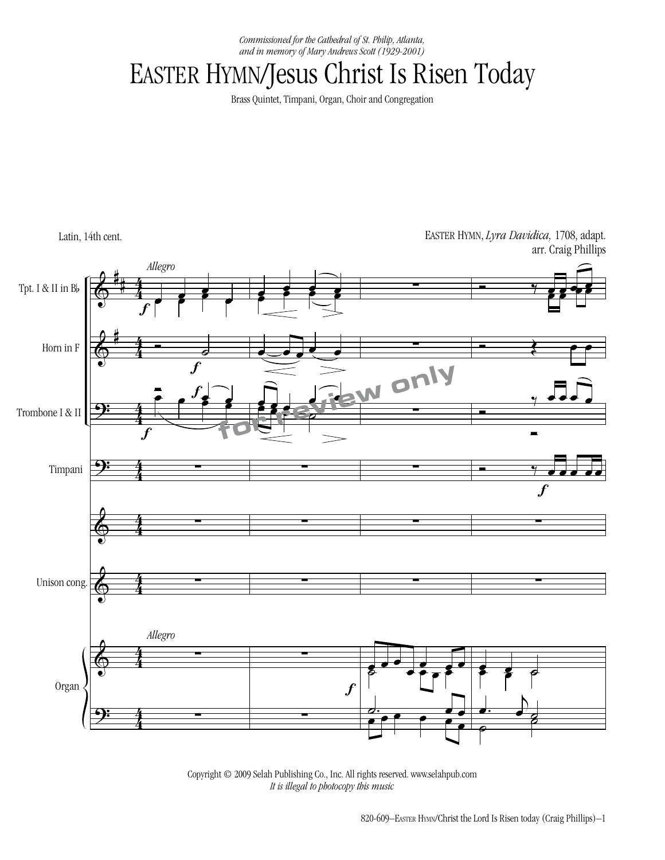*Commissioned for the Cathedral of St. Philip, Atlanta, and in memory of Mary Andrews Scott (1929-2001)*

## EASTER HYMN/Jesus Christ Is Risen Today

Brass Quintet, Timpani, Organ, Choir and Congregation



Copyright © 2009 Selah Publishing Co., Inc. All rights reserved. www.selahpub.com *It is illegal to photocopy this music*  $\mathcal{P}$   $\mathcal{P}$   $\mathcal{P}$   $\mathcal{P}$   $\mathcal{P}$  is in the photocopy this music.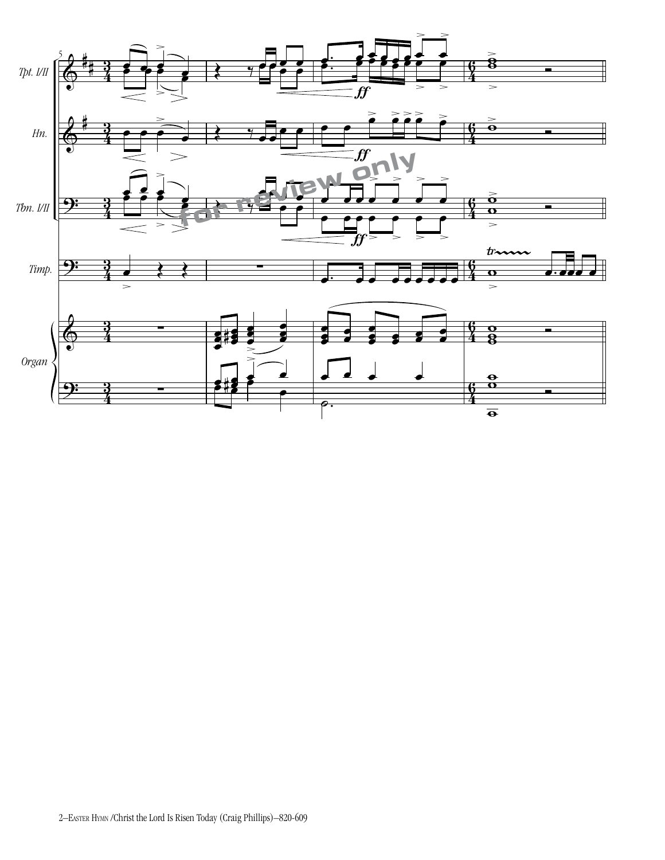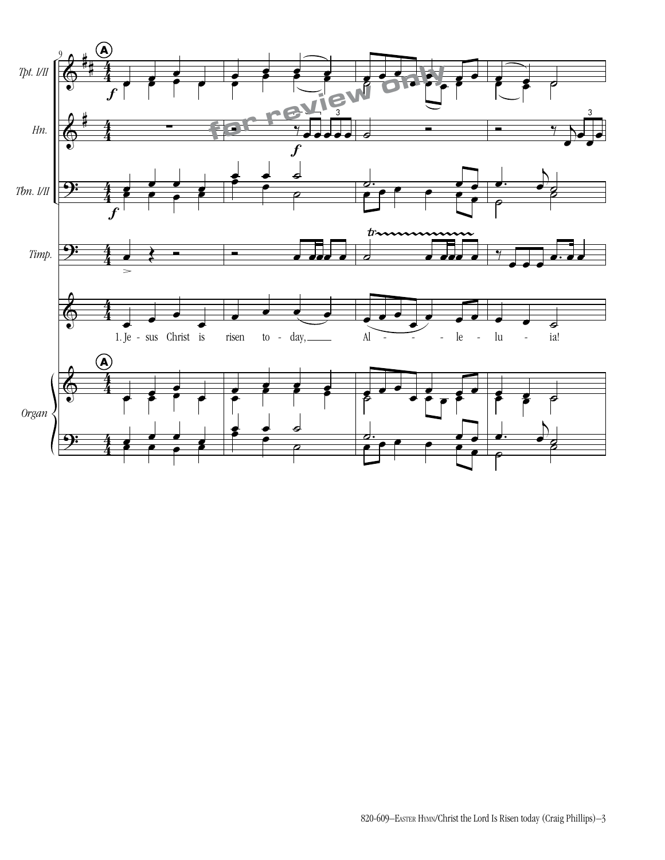